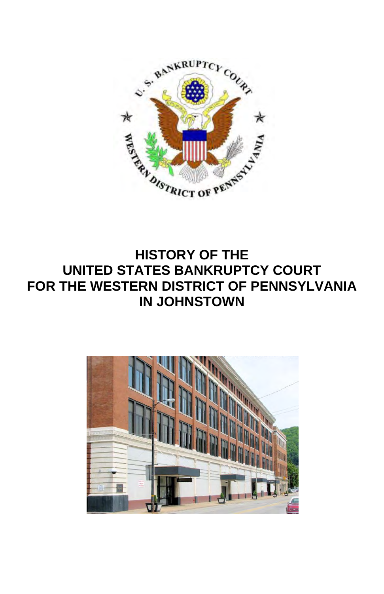

## **HISTORY OF THE UNITED STATES BANKRUPTCY COURT FOR THE WESTERN DISTRICT OF PENNSYLVANIA IN JOHNSTOWN**

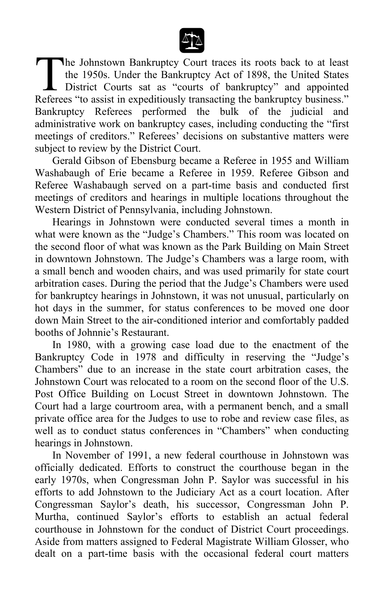

he Johnstown Bankruptcy Court traces its roots back to at least the 1950s. Under the Bankruptcy Act of 1898, the United States District Courts sat as "courts of bankruptcy" and appointed The Johnstown Bankruptcy Court traces its roots back to at least<br>the 1950s. Under the Bankruptcy Act of 1898, the United States<br>District Courts sat as "courts of bankruptcy" and appointed<br>Referees "to assist in expeditious Bankruptcy Referees performed the bulk of the judicial and administrative work on bankruptcy cases, including conducting the "first meetings of creditors." Referees' decisions on substantive matters were subject to review by the District Court.

Gerald Gibson of Ebensburg became a Referee in 1955 and William Washabaugh of Erie became a Referee in 1959. Referee Gibson and Referee Washabaugh served on a part-time basis and conducted first meetings of creditors and hearings in multiple locations throughout the Western District of Pennsylvania, including Johnstown.

Hearings in Johnstown were conducted several times a month in what were known as the "Judge's Chambers." This room was located on the second floor of what was known as the Park Building on Main Street in downtown Johnstown. The Judge's Chambers was a large room, with a small bench and wooden chairs, and was used primarily for state court arbitration cases. During the period that the Judge's Chambers were used for bankruptcy hearings in Johnstown, it was not unusual, particularly on hot days in the summer, for status conferences to be moved one door down Main Street to the air-conditioned interior and comfortably padded booths of Johnnie's Restaurant.

In 1980, with a growing case load due to the enactment of the Bankruptcy Code in 1978 and difficulty in reserving the "Judge's Chambers" due to an increase in the state court arbitration cases, the Johnstown Court was relocated to a room on the second floor of the U.S. Post Office Building on Locust Street in downtown Johnstown. The Court had a large courtroom area, with a permanent bench, and a small private office area for the Judges to use to robe and review case files, as well as to conduct status conferences in "Chambers" when conducting hearings in Johnstown.

In November of 1991, a new federal courthouse in Johnstown was officially dedicated. Efforts to construct the courthouse began in the early 1970s, when Congressman John P. Saylor was successful in his efforts to add Johnstown to the Judiciary Act as a court location. After Congressman Saylor's death, his successor, Congressman John P. Murtha, continued Saylor's efforts to establish an actual federal courthouse in Johnstown for the conduct of District Court proceedings. Aside from matters assigned to Federal Magistrate William Glosser, who dealt on a part-time basis with the occasional federal court matters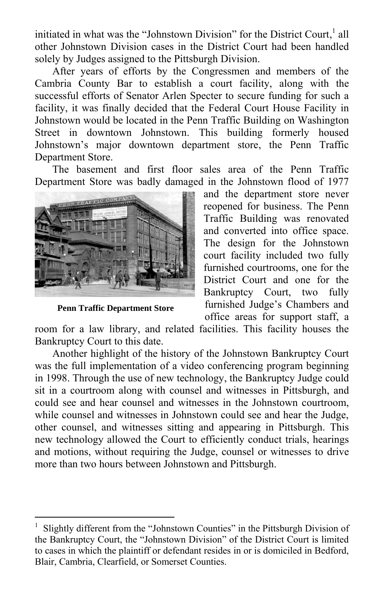initiated in what was the "Johnstown Division" for the District Court, $<sup>1</sup>$  all</sup> other Johnstown Division cases in the District Court had been handled solely by Judges assigned to the Pittsburgh Division.

After years of efforts by the Congressmen and members of the Cambria County Bar to establish a court facility, along with the successful efforts of Senator Arlen Specter to secure funding for such a facility, it was finally decided that the Federal Court House Facility in Johnstown would be located in the Penn Traffic Building on Washington Street in downtown Johnstown. This building formerly housed Johnstown's major downtown department store, the Penn Traffic Department Store.

The basement and first floor sales area of the Penn Traffic Department Store was badly damaged in the Johnstown flood of 1977



**Penn Traffic Department Store**

 $\overline{a}$ 

and the department store never reopened for business. The Penn Traffic Building was renovated and converted into office space. The design for the Johnstown court facility included two fully furnished courtrooms, one for the District Court and one for the Bankruptcy Court, two fully furnished Judge's Chambers and office areas for support staff, a

room for a law library, and related facilities. This facility houses the Bankruptcy Court to this date.

Another highlight of the history of the Johnstown Bankruptcy Court was the full implementation of a video conferencing program beginning in 1998. Through the use of new technology, the Bankruptcy Judge could sit in a courtroom along with counsel and witnesses in Pittsburgh, and could see and hear counsel and witnesses in the Johnstown courtroom, while counsel and witnesses in Johnstown could see and hear the Judge, other counsel, and witnesses sitting and appearing in Pittsburgh. This new technology allowed the Court to efficiently conduct trials, hearings and motions, without requiring the Judge, counsel or witnesses to drive more than two hours between Johnstown and Pittsburgh.

<sup>1</sup> Slightly different from the "Johnstown Counties" in the Pittsburgh Division of the Bankruptcy Court, the "Johnstown Division" of the District Court is limited to cases in which the plaintiff or defendant resides in or is domiciled in Bedford, Blair, Cambria, Clearfield, or Somerset Counties.